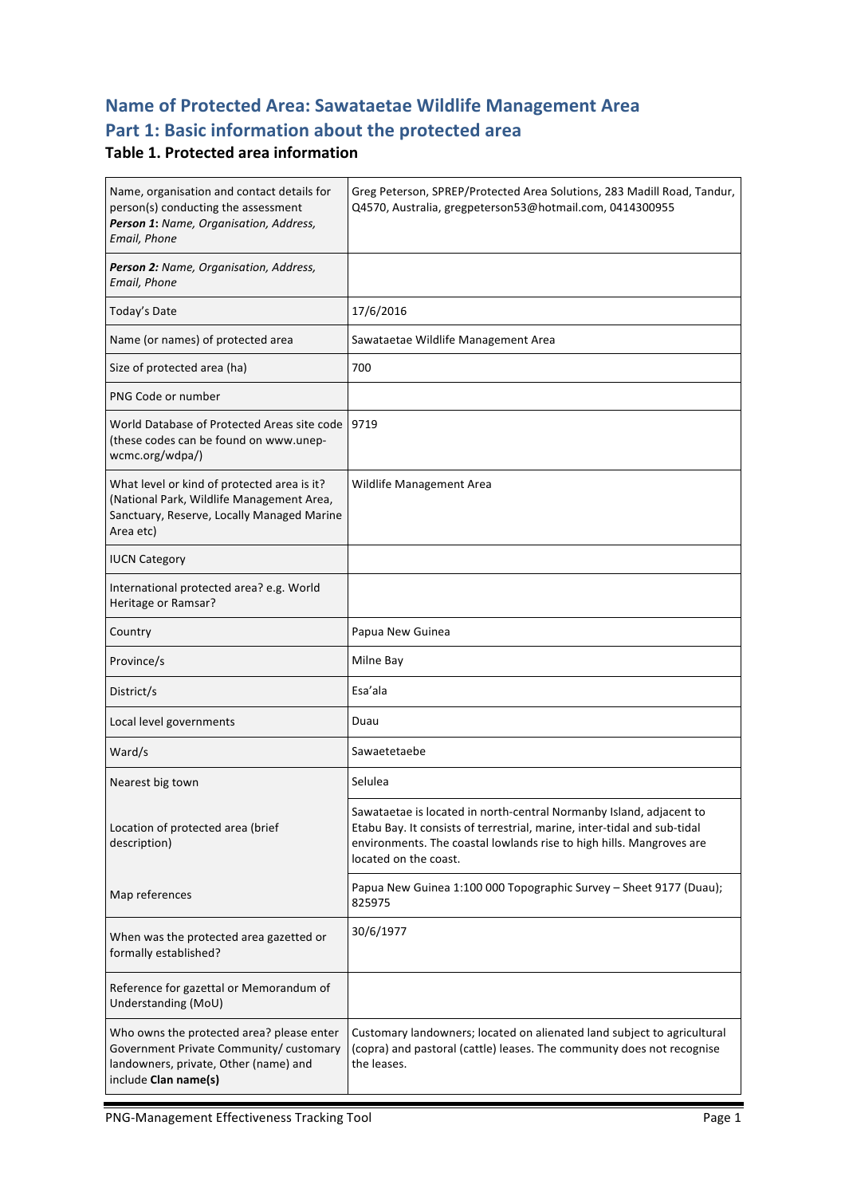# **Name of Protected Area: Sawataetae Wildlife Management Area Part 1: Basic information about the protected area**

#### **Table 1. Protected area information**

| Name, organisation and contact details for<br>person(s) conducting the assessment<br>Person 1: Name, Organisation, Address,<br>Email, Phone           | Greg Peterson, SPREP/Protected Area Solutions, 283 Madill Road, Tandur,<br>Q4570, Australia, gregpeterson53@hotmail.com, 0414300955                                                                                                              |
|-------------------------------------------------------------------------------------------------------------------------------------------------------|--------------------------------------------------------------------------------------------------------------------------------------------------------------------------------------------------------------------------------------------------|
| Person 2: Name, Organisation, Address,<br>Email, Phone                                                                                                |                                                                                                                                                                                                                                                  |
| Today's Date                                                                                                                                          | 17/6/2016                                                                                                                                                                                                                                        |
| Name (or names) of protected area                                                                                                                     | Sawataetae Wildlife Management Area                                                                                                                                                                                                              |
| Size of protected area (ha)                                                                                                                           | 700                                                                                                                                                                                                                                              |
| PNG Code or number                                                                                                                                    |                                                                                                                                                                                                                                                  |
| World Database of Protected Areas site code<br>(these codes can be found on www.unep-<br>wcmc.org/wdpa/)                                              | 9719                                                                                                                                                                                                                                             |
| What level or kind of protected area is it?<br>(National Park, Wildlife Management Area,<br>Sanctuary, Reserve, Locally Managed Marine<br>Area etc)   | Wildlife Management Area                                                                                                                                                                                                                         |
| <b>IUCN Category</b>                                                                                                                                  |                                                                                                                                                                                                                                                  |
| International protected area? e.g. World<br>Heritage or Ramsar?                                                                                       |                                                                                                                                                                                                                                                  |
| Country                                                                                                                                               | Papua New Guinea                                                                                                                                                                                                                                 |
| Province/s                                                                                                                                            | Milne Bay                                                                                                                                                                                                                                        |
| District/s                                                                                                                                            | Esa'ala                                                                                                                                                                                                                                          |
| Local level governments                                                                                                                               | Duau                                                                                                                                                                                                                                             |
| Ward/s                                                                                                                                                | Sawaetetaebe                                                                                                                                                                                                                                     |
| Nearest big town                                                                                                                                      | Selulea                                                                                                                                                                                                                                          |
| Location of protected area (brief<br>description)                                                                                                     | Sawataetae is located in north-central Normanby Island, adjacent to<br>Etabu Bay. It consists of terrestrial, marine, inter-tidal and sub-tidal<br>environments. The coastal lowlands rise to high hills. Mangroves are<br>located on the coast. |
| Map references                                                                                                                                        | Papua New Guinea 1:100 000 Topographic Survey - Sheet 9177 (Duau);<br>825975                                                                                                                                                                     |
| When was the protected area gazetted or<br>formally established?                                                                                      | 30/6/1977                                                                                                                                                                                                                                        |
| Reference for gazettal or Memorandum of<br>Understanding (MoU)                                                                                        |                                                                                                                                                                                                                                                  |
| Who owns the protected area? please enter<br>Government Private Community/ customary<br>landowners, private, Other (name) and<br>include Clan name(s) | Customary landowners; located on alienated land subject to agricultural<br>(copra) and pastoral (cattle) leases. The community does not recognise<br>the leases.                                                                                 |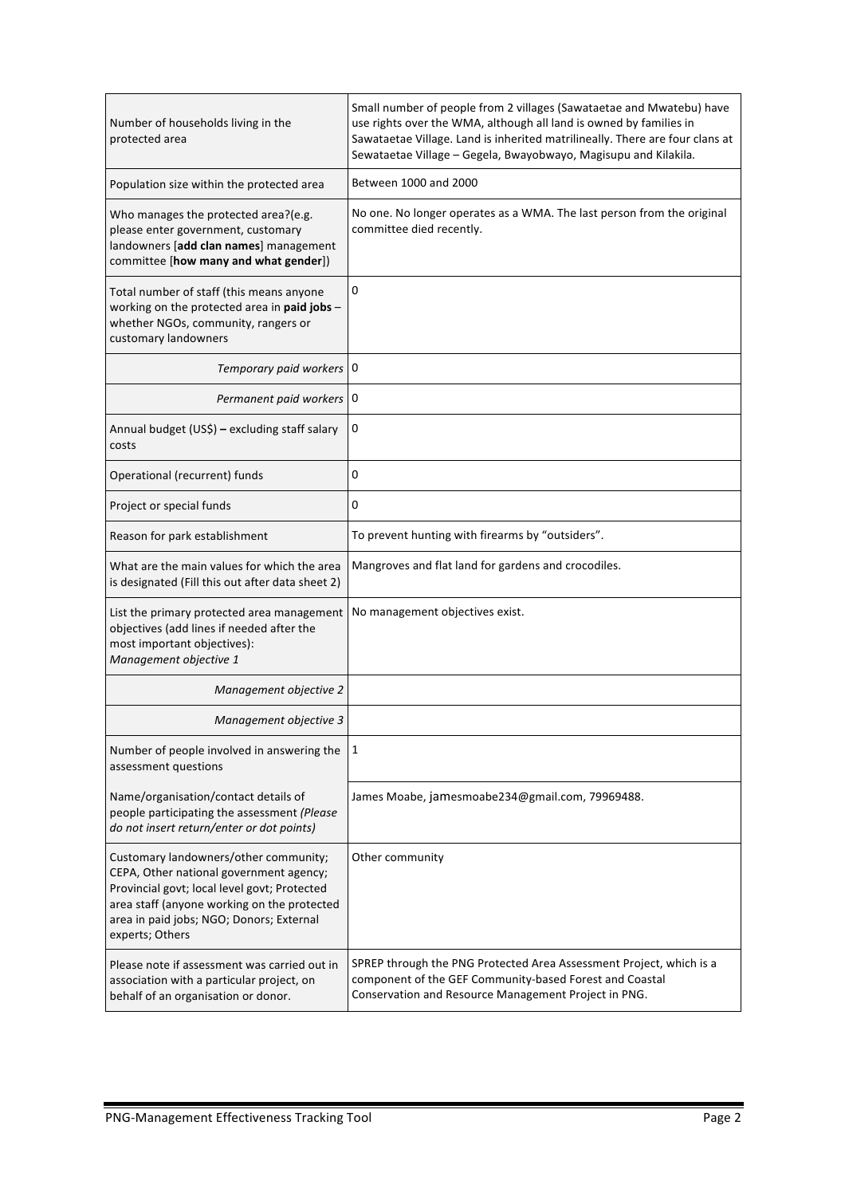| Number of households living in the<br>protected area                                                                                                                                                                                           | Small number of people from 2 villages (Sawataetae and Mwatebu) have<br>use rights over the WMA, although all land is owned by families in<br>Sawataetae Village. Land is inherited matrilineally. There are four clans at<br>Sewataetae Village - Gegela, Bwayobwayo, Magisupu and Kilakila. |
|------------------------------------------------------------------------------------------------------------------------------------------------------------------------------------------------------------------------------------------------|-----------------------------------------------------------------------------------------------------------------------------------------------------------------------------------------------------------------------------------------------------------------------------------------------|
| Population size within the protected area                                                                                                                                                                                                      | Between 1000 and 2000                                                                                                                                                                                                                                                                         |
| Who manages the protected area?(e.g.<br>please enter government, customary<br>landowners [add clan names] management<br>committee [how many and what gender])                                                                                  | No one. No longer operates as a WMA. The last person from the original<br>committee died recently.                                                                                                                                                                                            |
| Total number of staff (this means anyone<br>working on the protected area in paid jobs -<br>whether NGOs, community, rangers or<br>customary landowners                                                                                        | 0                                                                                                                                                                                                                                                                                             |
| Temporary paid workers 0                                                                                                                                                                                                                       |                                                                                                                                                                                                                                                                                               |
| Permanent paid workers                                                                                                                                                                                                                         | 0                                                                                                                                                                                                                                                                                             |
| Annual budget (US\$) - excluding staff salary<br>costs                                                                                                                                                                                         | 0                                                                                                                                                                                                                                                                                             |
| Operational (recurrent) funds                                                                                                                                                                                                                  | 0                                                                                                                                                                                                                                                                                             |
| Project or special funds                                                                                                                                                                                                                       | 0                                                                                                                                                                                                                                                                                             |
| Reason for park establishment                                                                                                                                                                                                                  | To prevent hunting with firearms by "outsiders".                                                                                                                                                                                                                                              |
| What are the main values for which the area<br>is designated (Fill this out after data sheet 2)                                                                                                                                                | Mangroves and flat land for gardens and crocodiles.                                                                                                                                                                                                                                           |
| List the primary protected area management<br>objectives (add lines if needed after the<br>most important objectives):<br>Management objective 1                                                                                               | No management objectives exist.                                                                                                                                                                                                                                                               |
| Management objective 2                                                                                                                                                                                                                         |                                                                                                                                                                                                                                                                                               |
| Management objective 3                                                                                                                                                                                                                         |                                                                                                                                                                                                                                                                                               |
| Number of people involved in answering the<br>assessment questions                                                                                                                                                                             | 1                                                                                                                                                                                                                                                                                             |
| Name/organisation/contact details of<br>people participating the assessment (Please<br>do not insert return/enter or dot points)                                                                                                               | James Moabe, jamesmoabe234@gmail.com, 79969488.                                                                                                                                                                                                                                               |
| Customary landowners/other community;<br>CEPA, Other national government agency;<br>Provincial govt; local level govt; Protected<br>area staff (anyone working on the protected<br>area in paid jobs; NGO; Donors; External<br>experts; Others | Other community                                                                                                                                                                                                                                                                               |
| Please note if assessment was carried out in<br>association with a particular project, on<br>behalf of an organisation or donor.                                                                                                               | SPREP through the PNG Protected Area Assessment Project, which is a<br>component of the GEF Community-based Forest and Coastal<br>Conservation and Resource Management Project in PNG.                                                                                                        |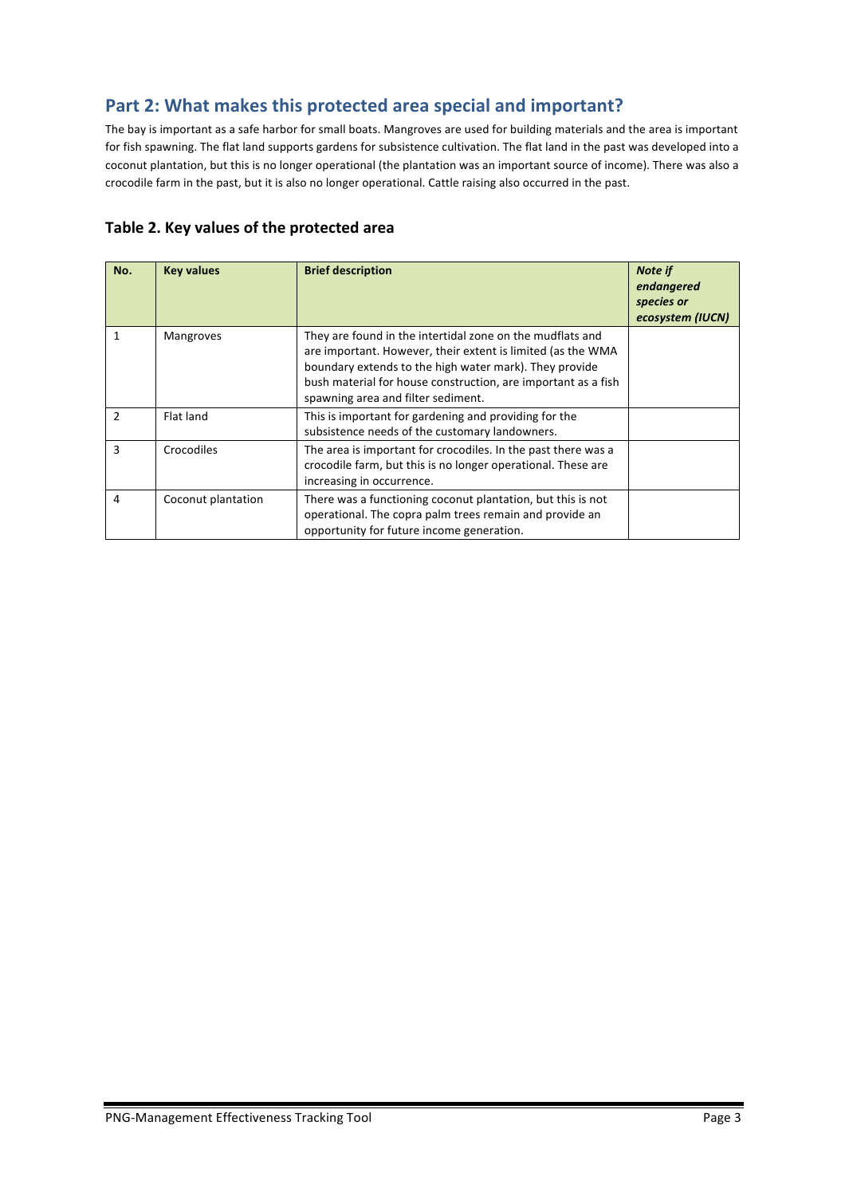## **Part 2: What makes this protected area special and important?**

The bay is important as a safe harbor for small boats. Mangroves are used for building materials and the area is important for fish spawning. The flat land supports gardens for subsistence cultivation. The flat land in the past was developed into a coconut plantation, but this is no longer operational (the plantation was an important source of income). There was also a crocodile farm in the past, but it is also no longer operational. Cattle raising also occurred in the past.

| No.           | <b>Key values</b>  | <b>Brief description</b>                                                                                                                                                                                                                                                                  | <b>Note if</b><br>endangered<br>species or<br>ecosystem (IUCN) |
|---------------|--------------------|-------------------------------------------------------------------------------------------------------------------------------------------------------------------------------------------------------------------------------------------------------------------------------------------|----------------------------------------------------------------|
| 1             | <b>Mangroves</b>   | They are found in the intertidal zone on the mudflats and<br>are important. However, their extent is limited (as the WMA<br>boundary extends to the high water mark). They provide<br>bush material for house construction, are important as a fish<br>spawning area and filter sediment. |                                                                |
| $\mathcal{P}$ | Flat land          | This is important for gardening and providing for the<br>subsistence needs of the customary landowners.                                                                                                                                                                                   |                                                                |
| 3             | Crocodiles         | The area is important for crocodiles. In the past there was a<br>crocodile farm, but this is no longer operational. These are<br>increasing in occurrence.                                                                                                                                |                                                                |
| 4             | Coconut plantation | There was a functioning coconut plantation, but this is not<br>operational. The copra palm trees remain and provide an<br>opportunity for future income generation.                                                                                                                       |                                                                |

#### Table 2. Key values of the protected area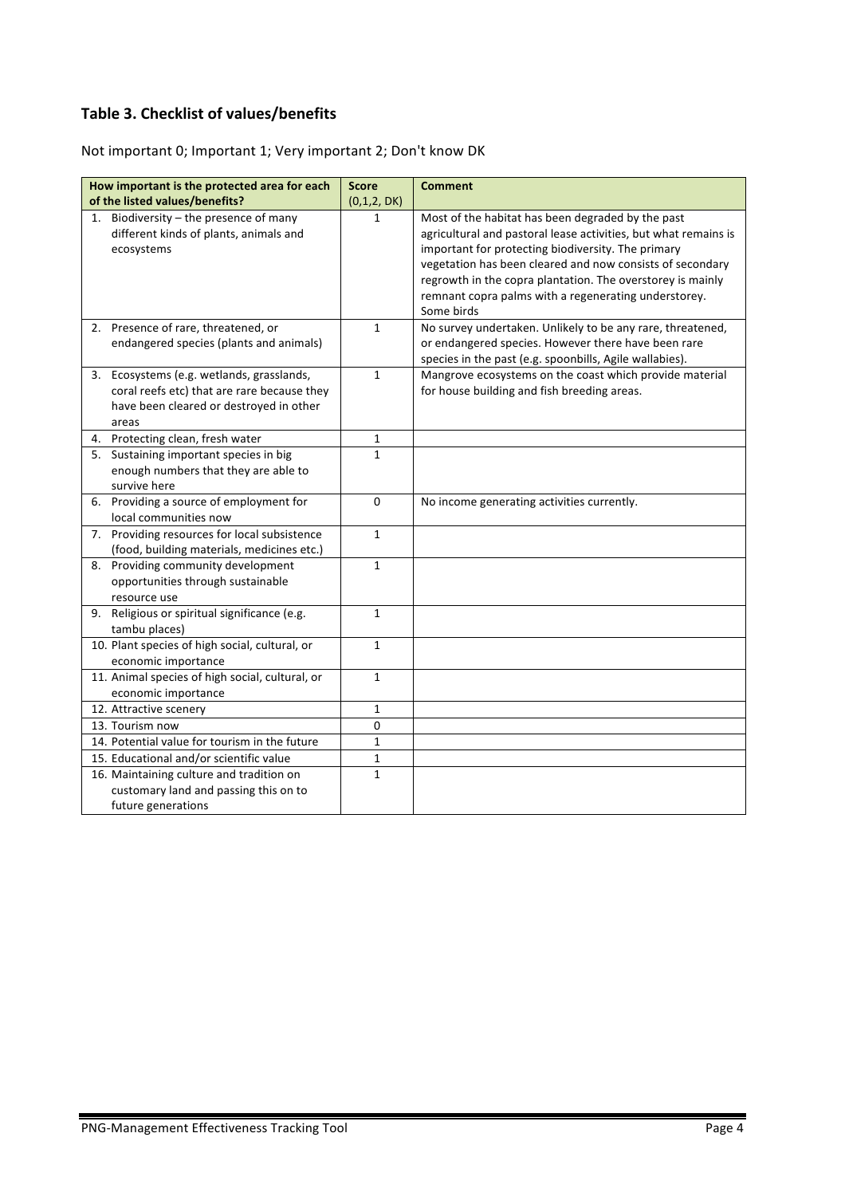#### **Table 3. Checklist of values/benefits**

Not important 0; Important 1; Very important 2; Don't know DK

| How important is the protected area for each                                                                                                 | <b>Score</b> | <b>Comment</b>                                                                                                                                                                                                                                                                                                                                                              |
|----------------------------------------------------------------------------------------------------------------------------------------------|--------------|-----------------------------------------------------------------------------------------------------------------------------------------------------------------------------------------------------------------------------------------------------------------------------------------------------------------------------------------------------------------------------|
| of the listed values/benefits?                                                                                                               | (0,1,2, DK)  |                                                                                                                                                                                                                                                                                                                                                                             |
| 1. Biodiversity $-$ the presence of many<br>different kinds of plants, animals and<br>ecosystems                                             | 1            | Most of the habitat has been degraded by the past<br>agricultural and pastoral lease activities, but what remains is<br>important for protecting biodiversity. The primary<br>vegetation has been cleared and now consists of secondary<br>regrowth in the copra plantation. The overstorey is mainly<br>remnant copra palms with a regenerating understorey.<br>Some birds |
| 2. Presence of rare, threatened, or<br>endangered species (plants and animals)                                                               | $\mathbf{1}$ | No survey undertaken. Unlikely to be any rare, threatened,<br>or endangered species. However there have been rare<br>species in the past (e.g. spoonbills, Agile wallabies).                                                                                                                                                                                                |
| 3. Ecosystems (e.g. wetlands, grasslands,<br>coral reefs etc) that are rare because they<br>have been cleared or destroyed in other<br>areas | $\mathbf{1}$ | Mangrove ecosystems on the coast which provide material<br>for house building and fish breeding areas.                                                                                                                                                                                                                                                                      |
| 4. Protecting clean, fresh water                                                                                                             | 1            |                                                                                                                                                                                                                                                                                                                                                                             |
| 5. Sustaining important species in big<br>enough numbers that they are able to<br>survive here                                               | $\mathbf{1}$ |                                                                                                                                                                                                                                                                                                                                                                             |
| 6. Providing a source of employment for<br>local communities now                                                                             | 0            | No income generating activities currently.                                                                                                                                                                                                                                                                                                                                  |
| 7. Providing resources for local subsistence<br>(food, building materials, medicines etc.)                                                   | $\mathbf{1}$ |                                                                                                                                                                                                                                                                                                                                                                             |
| Providing community development<br>8.<br>opportunities through sustainable<br>resource use                                                   | $\mathbf{1}$ |                                                                                                                                                                                                                                                                                                                                                                             |
| 9. Religious or spiritual significance (e.g.<br>tambu places)                                                                                | $\mathbf{1}$ |                                                                                                                                                                                                                                                                                                                                                                             |
| 10. Plant species of high social, cultural, or<br>economic importance                                                                        | $\mathbf{1}$ |                                                                                                                                                                                                                                                                                                                                                                             |
| 11. Animal species of high social, cultural, or<br>economic importance                                                                       | $\mathbf{1}$ |                                                                                                                                                                                                                                                                                                                                                                             |
| 12. Attractive scenery                                                                                                                       | $\mathbf{1}$ |                                                                                                                                                                                                                                                                                                                                                                             |
| 13. Tourism now                                                                                                                              | 0            |                                                                                                                                                                                                                                                                                                                                                                             |
| 14. Potential value for tourism in the future                                                                                                | $\mathbf{1}$ |                                                                                                                                                                                                                                                                                                                                                                             |
| 15. Educational and/or scientific value                                                                                                      | $\mathbf{1}$ |                                                                                                                                                                                                                                                                                                                                                                             |
| 16. Maintaining culture and tradition on<br>customary land and passing this on to<br>future generations                                      | 1            |                                                                                                                                                                                                                                                                                                                                                                             |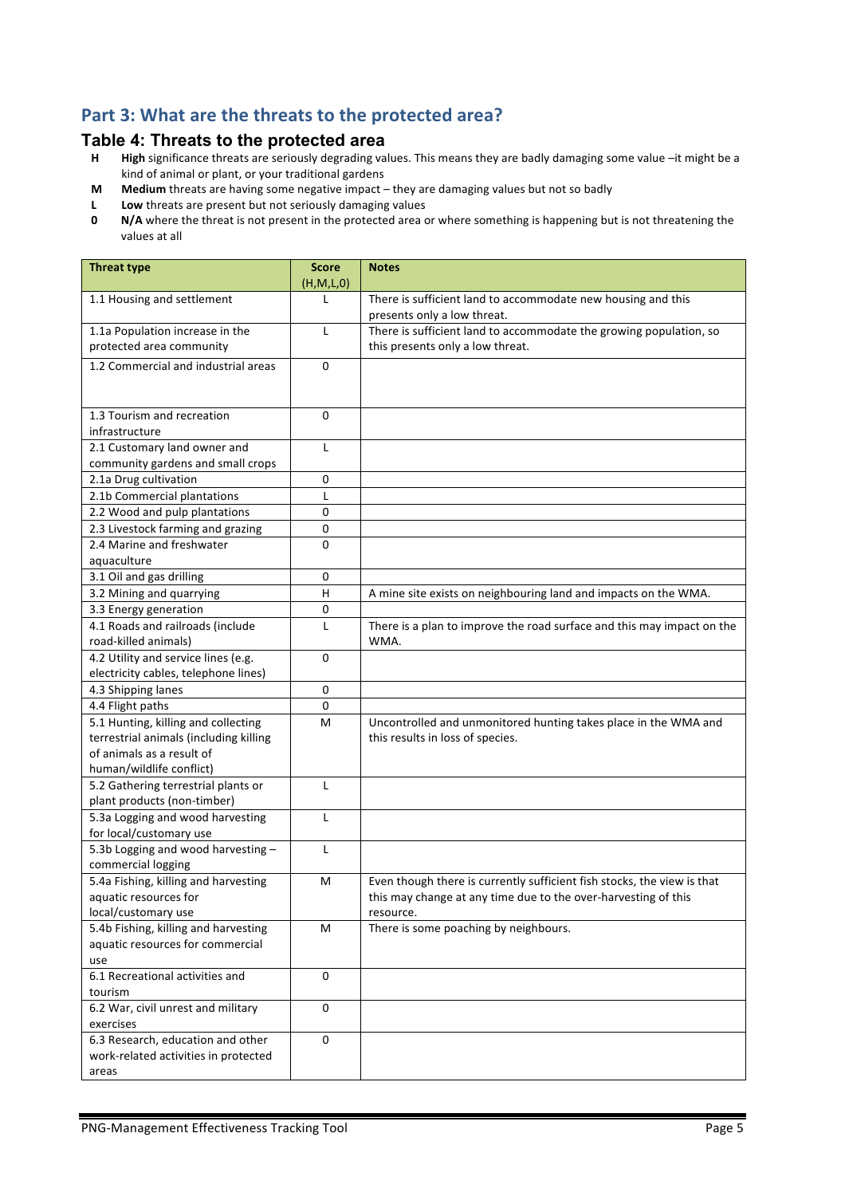## Part 3: What are the threats to the protected area?

# **Table 4: Threats to the protected area**<br>**H** High significance threats are seriously degrading va

- High significance threats are seriously degrading values. This means they are badly damaging some value -it might be a kind of animal or plant, or your traditional gardens
- **M** Medium threats are having some negative impact they are damaging values but not so badly
- **L** Low threats are present but not seriously damaging values<br>**0** N/A where the threat is not present in the protected area of
- **N/A** where the threat is not present in the protected area or where something is happening but is not threatening the values at all

| <b>Threat type</b>                                                                   | <b>Score</b><br>(H,M,L,0) | <b>Notes</b>                                                                                                                                           |
|--------------------------------------------------------------------------------------|---------------------------|--------------------------------------------------------------------------------------------------------------------------------------------------------|
| 1.1 Housing and settlement                                                           | L                         | There is sufficient land to accommodate new housing and this<br>presents only a low threat.                                                            |
| 1.1a Population increase in the<br>protected area community                          | L                         | There is sufficient land to accommodate the growing population, so<br>this presents only a low threat.                                                 |
| 1.2 Commercial and industrial areas                                                  | 0                         |                                                                                                                                                        |
| 1.3 Tourism and recreation<br>infrastructure                                         | 0                         |                                                                                                                                                        |
| 2.1 Customary land owner and<br>community gardens and small crops                    | L                         |                                                                                                                                                        |
| 2.1a Drug cultivation                                                                | 0                         |                                                                                                                                                        |
| 2.1b Commercial plantations                                                          | L                         |                                                                                                                                                        |
| 2.2 Wood and pulp plantations                                                        | 0                         |                                                                                                                                                        |
| 2.3 Livestock farming and grazing                                                    | 0                         |                                                                                                                                                        |
| 2.4 Marine and freshwater<br>aquaculture                                             | 0                         |                                                                                                                                                        |
| 3.1 Oil and gas drilling                                                             | 0                         |                                                                                                                                                        |
| 3.2 Mining and quarrying                                                             | $\overline{H}$            | A mine site exists on neighbouring land and impacts on the WMA.                                                                                        |
| 3.3 Energy generation                                                                | 0                         |                                                                                                                                                        |
| 4.1 Roads and railroads (include<br>road-killed animals)                             | L                         | There is a plan to improve the road surface and this may impact on the<br>WMA.                                                                         |
| 4.2 Utility and service lines (e.g.                                                  | 0                         |                                                                                                                                                        |
| electricity cables, telephone lines)                                                 |                           |                                                                                                                                                        |
| 4.3 Shipping lanes                                                                   | 0                         |                                                                                                                                                        |
| 4.4 Flight paths                                                                     | 0                         |                                                                                                                                                        |
| 5.1 Hunting, killing and collecting                                                  | M                         | Uncontrolled and unmonitored hunting takes place in the WMA and                                                                                        |
| terrestrial animals (including killing                                               |                           | this results in loss of species.                                                                                                                       |
| of animals as a result of                                                            |                           |                                                                                                                                                        |
| human/wildlife conflict)                                                             |                           |                                                                                                                                                        |
| 5.2 Gathering terrestrial plants or<br>plant products (non-timber)                   | L                         |                                                                                                                                                        |
| 5.3a Logging and wood harvesting<br>for local/customary use                          | L                         |                                                                                                                                                        |
| 5.3b Logging and wood harvesting -<br>commercial logging                             | L                         |                                                                                                                                                        |
| 5.4a Fishing, killing and harvesting<br>aquatic resources for<br>local/customary use | м                         | Even though there is currently sufficient fish stocks, the view is that<br>this may change at any time due to the over-harvesting of this<br>resource. |
| 5.4b Fishing, killing and harvesting<br>aquatic resources for commercial<br>use      | M                         | There is some poaching by neighbours.                                                                                                                  |
| 6.1 Recreational activities and<br>tourism                                           | 0                         |                                                                                                                                                        |
| 6.2 War, civil unrest and military<br>exercises                                      | 0                         |                                                                                                                                                        |
| 6.3 Research, education and other<br>work-related activities in protected<br>areas   | 0                         |                                                                                                                                                        |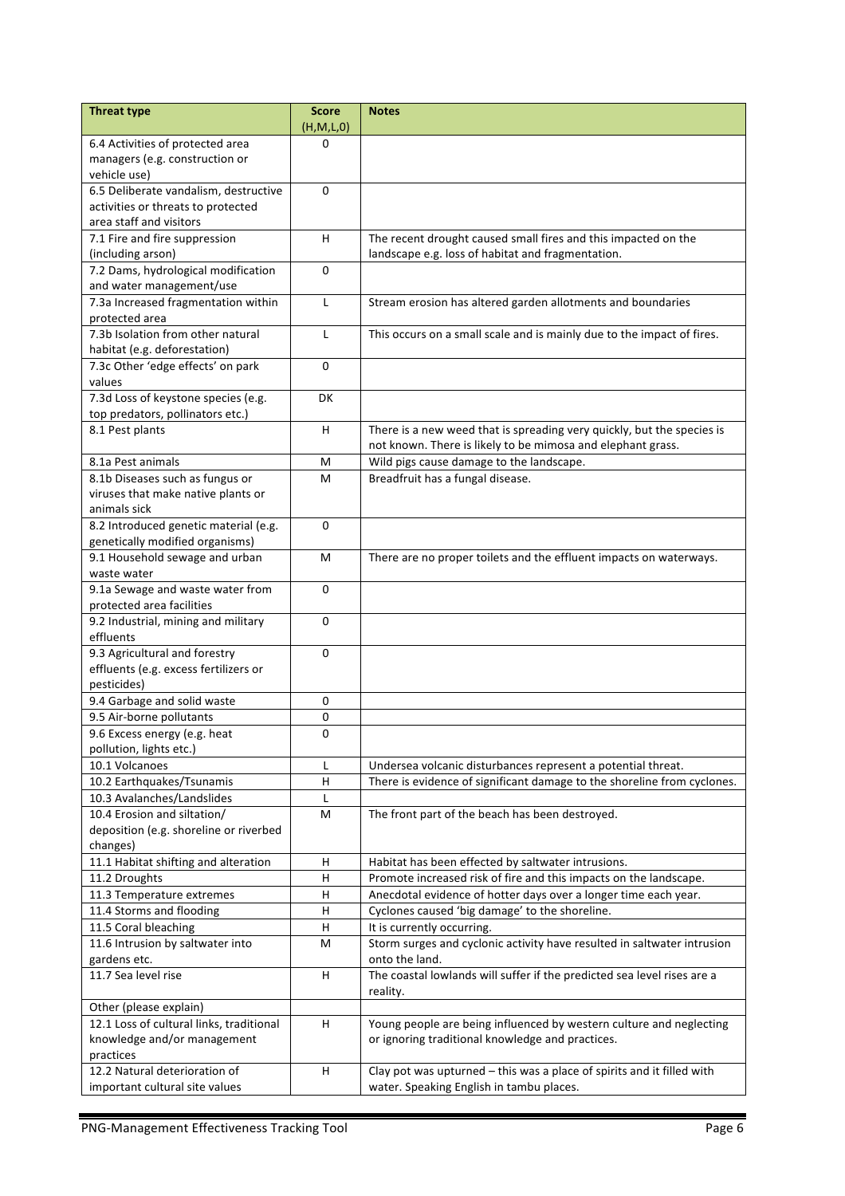| <b>Threat type</b>                                  | <b>Score</b><br>(H,M,L,0) | <b>Notes</b>                                                            |
|-----------------------------------------------------|---------------------------|-------------------------------------------------------------------------|
| 6.4 Activities of protected area                    | 0                         |                                                                         |
| managers (e.g. construction or<br>vehicle use)      |                           |                                                                         |
| 6.5 Deliberate vandalism, destructive               | 0                         |                                                                         |
| activities or threats to protected                  |                           |                                                                         |
| area staff and visitors                             |                           |                                                                         |
| 7.1 Fire and fire suppression                       | H                         | The recent drought caused small fires and this impacted on the          |
| (including arson)                                   |                           | landscape e.g. loss of habitat and fragmentation.                       |
| 7.2 Dams, hydrological modification                 | $\Omega$                  |                                                                         |
| and water management/use                            |                           |                                                                         |
| 7.3a Increased fragmentation within                 | $\mathsf{L}$              | Stream erosion has altered garden allotments and boundaries             |
| protected area                                      |                           |                                                                         |
| 7.3b Isolation from other natural                   | L                         | This occurs on a small scale and is mainly due to the impact of fires.  |
| habitat (e.g. deforestation)                        |                           |                                                                         |
| 7.3c Other 'edge effects' on park                   | $\Omega$                  |                                                                         |
| values                                              |                           |                                                                         |
| 7.3d Loss of keystone species (e.g.                 | DK                        |                                                                         |
| top predators, pollinators etc.)<br>8.1 Pest plants | H                         |                                                                         |
|                                                     |                           | There is a new weed that is spreading very quickly, but the species is  |
|                                                     |                           | not known. There is likely to be mimosa and elephant grass.             |
| 8.1a Pest animals                                   | м                         | Wild pigs cause damage to the landscape.                                |
| 8.1b Diseases such as fungus or                     | M                         | Breadfruit has a fungal disease.                                        |
| viruses that make native plants or<br>animals sick  |                           |                                                                         |
| 8.2 Introduced genetic material (e.g.               | $\mathbf{0}$              |                                                                         |
| genetically modified organisms)                     |                           |                                                                         |
| 9.1 Household sewage and urban                      | M                         | There are no proper toilets and the effluent impacts on waterways.      |
| waste water                                         |                           |                                                                         |
| 9.1a Sewage and waste water from                    | 0                         |                                                                         |
| protected area facilities                           |                           |                                                                         |
| 9.2 Industrial, mining and military                 | $\mathbf 0$               |                                                                         |
| effluents                                           |                           |                                                                         |
| 9.3 Agricultural and forestry                       | $\Omega$                  |                                                                         |
| effluents (e.g. excess fertilizers or               |                           |                                                                         |
| pesticides)                                         |                           |                                                                         |
| 9.4 Garbage and solid waste                         | 0                         |                                                                         |
| 9.5 Air-borne pollutants                            | 0                         |                                                                         |
| 9.6 Excess energy (e.g. heat                        | 0                         |                                                                         |
| pollution, lights etc.)                             |                           |                                                                         |
| 10.1 Volcanoes                                      | L                         | Undersea volcanic disturbances represent a potential threat.            |
| 10.2 Earthquakes/Tsunamis                           | Н                         | There is evidence of significant damage to the shoreline from cyclones. |
| 10.3 Avalanches/Landslides                          | L                         |                                                                         |
| 10.4 Erosion and siltation/                         | M                         | The front part of the beach has been destroyed.                         |
| deposition (e.g. shoreline or riverbed              |                           |                                                                         |
| changes)                                            |                           |                                                                         |
| 11.1 Habitat shifting and alteration                | н                         | Habitat has been effected by saltwater intrusions.                      |
| 11.2 Droughts                                       | H                         | Promote increased risk of fire and this impacts on the landscape.       |
| 11.3 Temperature extremes                           | H                         | Anecdotal evidence of hotter days over a longer time each year.         |
| 11.4 Storms and flooding                            | $\overline{H}$            | Cyclones caused 'big damage' to the shoreline.                          |
| 11.5 Coral bleaching                                | $\sf H$                   | It is currently occurring.                                              |
| 11.6 Intrusion by saltwater into                    | M                         | Storm surges and cyclonic activity have resulted in saltwater intrusion |
| gardens etc.                                        |                           | onto the land.                                                          |
| 11.7 Sea level rise                                 | H                         | The coastal lowlands will suffer if the predicted sea level rises are a |
|                                                     |                           | reality.                                                                |
| Other (please explain)                              |                           |                                                                         |
| 12.1 Loss of cultural links, traditional            | H                         | Young people are being influenced by western culture and neglecting     |
| knowledge and/or management                         |                           | or ignoring traditional knowledge and practices.                        |
| practices                                           |                           |                                                                         |
| 12.2 Natural deterioration of                       | H                         | Clay pot was upturned - this was a place of spirits and it filled with  |
| important cultural site values                      |                           | water. Speaking English in tambu places.                                |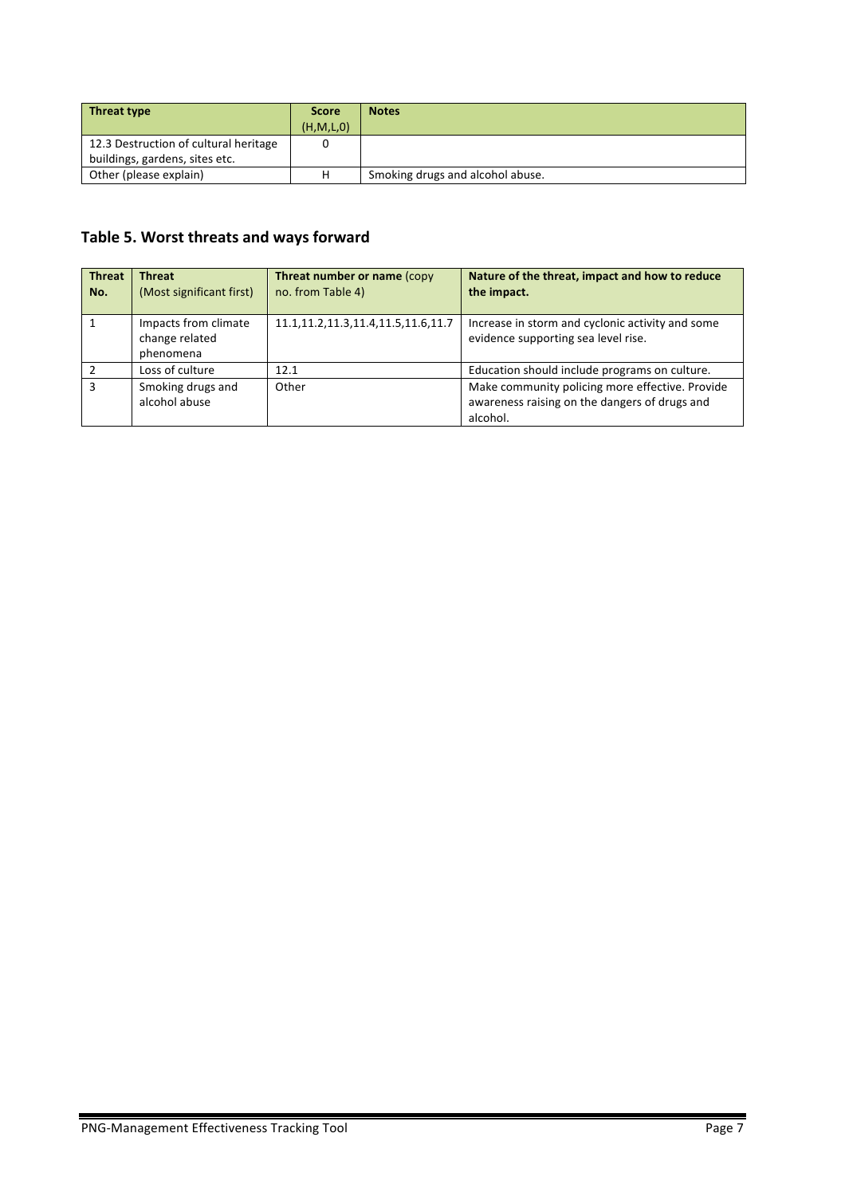| Threat type                           | <b>Score</b> | <b>Notes</b>                     |
|---------------------------------------|--------------|----------------------------------|
|                                       | (H, M, L, 0) |                                  |
| 12.3 Destruction of cultural heritage |              |                                  |
| buildings, gardens, sites etc.        |              |                                  |
| Other (please explain)                | н            | Smoking drugs and alcohol abuse. |

# Table 5. Worst threats and ways forward

| <b>Threat</b> | <b>Threat</b>                                       | Threat number or name (copy              | Nature of the threat, impact and how to reduce                                                               |
|---------------|-----------------------------------------------------|------------------------------------------|--------------------------------------------------------------------------------------------------------------|
| No.           | (Most significant first)                            | no. from Table 4)                        | the impact.                                                                                                  |
|               | Impacts from climate<br>change related<br>phenomena | 11.1, 11.2, 11.3, 11.4, 11.5, 11.6, 11.7 | Increase in storm and cyclonic activity and some<br>evidence supporting sea level rise.                      |
|               | Loss of culture                                     | 12.1                                     | Education should include programs on culture.                                                                |
| з             | Smoking drugs and<br>alcohol abuse                  | Other                                    | Make community policing more effective. Provide<br>awareness raising on the dangers of drugs and<br>alcohol. |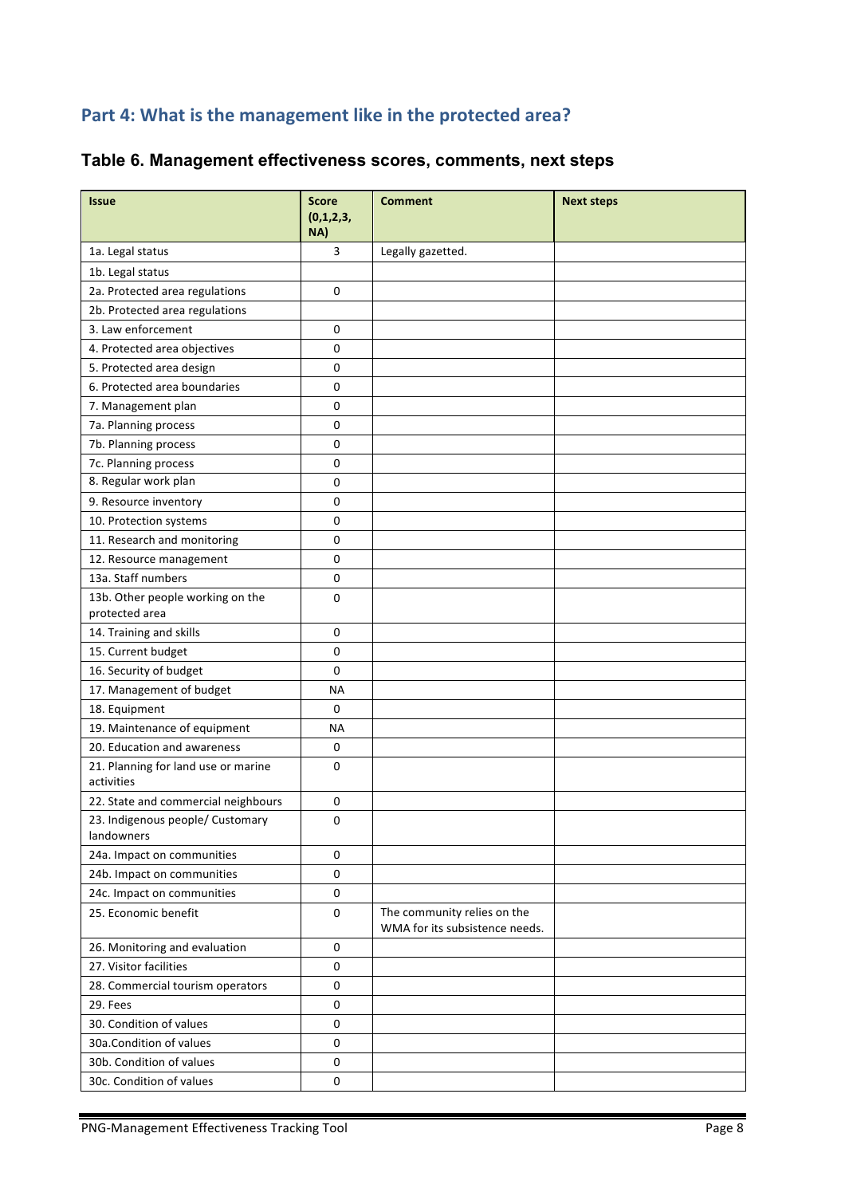# Part 4: What is the management like in the protected area?

| <b>Issue</b>                                       | <b>Score</b><br>(0,1,2,3,<br>NA) | <b>Comment</b>                                                | <b>Next steps</b> |
|----------------------------------------------------|----------------------------------|---------------------------------------------------------------|-------------------|
| 1a. Legal status                                   | 3                                | Legally gazetted.                                             |                   |
| 1b. Legal status                                   |                                  |                                                               |                   |
| 2a. Protected area regulations                     | 0                                |                                                               |                   |
| 2b. Protected area regulations                     |                                  |                                                               |                   |
| 3. Law enforcement                                 | 0                                |                                                               |                   |
| 4. Protected area objectives                       | 0                                |                                                               |                   |
| 5. Protected area design                           | 0                                |                                                               |                   |
| 6. Protected area boundaries                       | 0                                |                                                               |                   |
| 7. Management plan                                 | 0                                |                                                               |                   |
| 7a. Planning process                               | 0                                |                                                               |                   |
| 7b. Planning process                               | 0                                |                                                               |                   |
| 7c. Planning process                               | 0                                |                                                               |                   |
| 8. Regular work plan                               | 0                                |                                                               |                   |
| 9. Resource inventory                              | 0                                |                                                               |                   |
| 10. Protection systems                             | 0                                |                                                               |                   |
| 11. Research and monitoring                        | 0                                |                                                               |                   |
| 12. Resource management                            | $\mathbf 0$                      |                                                               |                   |
| 13a. Staff numbers                                 | 0                                |                                                               |                   |
| 13b. Other people working on the<br>protected area | 0                                |                                                               |                   |
| 14. Training and skills                            | 0                                |                                                               |                   |
| 15. Current budget                                 | 0                                |                                                               |                   |
| 16. Security of budget                             | 0                                |                                                               |                   |
| 17. Management of budget                           | <b>NA</b>                        |                                                               |                   |
| 18. Equipment                                      | 0                                |                                                               |                   |
| 19. Maintenance of equipment                       | <b>NA</b>                        |                                                               |                   |
| 20. Education and awareness                        | 0                                |                                                               |                   |
| 21. Planning for land use or marine<br>activities  | 0                                |                                                               |                   |
| 22. State and commercial neighbours                | 0                                |                                                               |                   |
| 23. Indigenous people/ Customary<br>landowners     | 0                                |                                                               |                   |
| 24a. Impact on communities                         | 0                                |                                                               |                   |
| 24b. Impact on communities                         | 0                                |                                                               |                   |
| 24c. Impact on communities                         | 0                                |                                                               |                   |
| 25. Economic benefit                               | 0                                | The community relies on the<br>WMA for its subsistence needs. |                   |
| 26. Monitoring and evaluation                      | 0                                |                                                               |                   |
| 27. Visitor facilities                             | 0                                |                                                               |                   |
| 28. Commercial tourism operators                   | 0                                |                                                               |                   |
| 29. Fees                                           | 0                                |                                                               |                   |
| 30. Condition of values                            | 0                                |                                                               |                   |
| 30a.Condition of values                            | 0                                |                                                               |                   |
| 30b. Condition of values                           | 0                                |                                                               |                   |
| 30c. Condition of values                           | 0                                |                                                               |                   |

# **Table 6. Management effectiveness scores, comments, next steps**